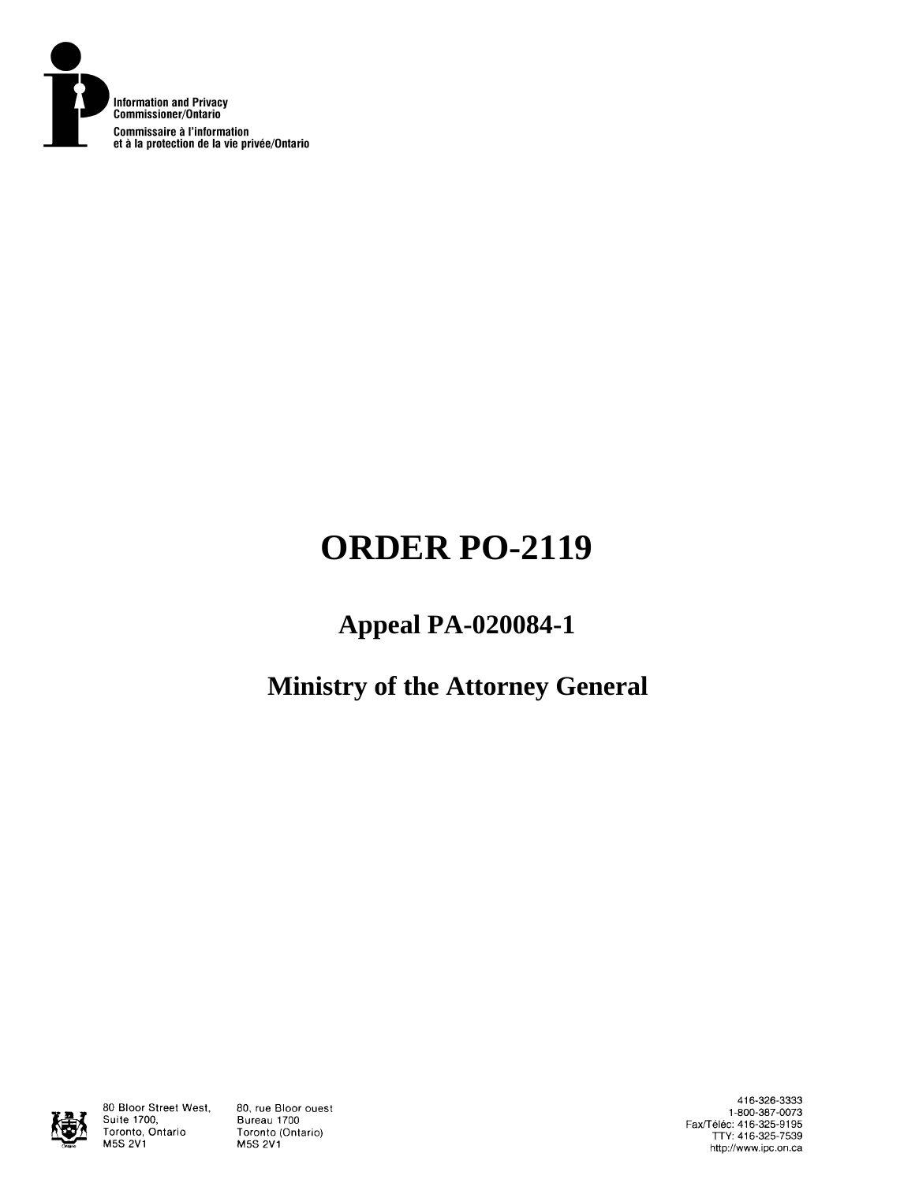

# **ORDER PO-2119**

# **Appeal PA-020084-1**

# **Ministry of the Attorney General**



80 Bloor Street West, Suite 1700, Toronto, Ontario **M5S 2V1** 

80, rue Bloor ouest Bureau 1700 Toronto (Ontario) **M5S 2V1** 

416-326-3333 1-800-387-0073 Fax/Téléc: 416-325-9195<br>TTY: 416-325-7539 http://www.ipc.on.ca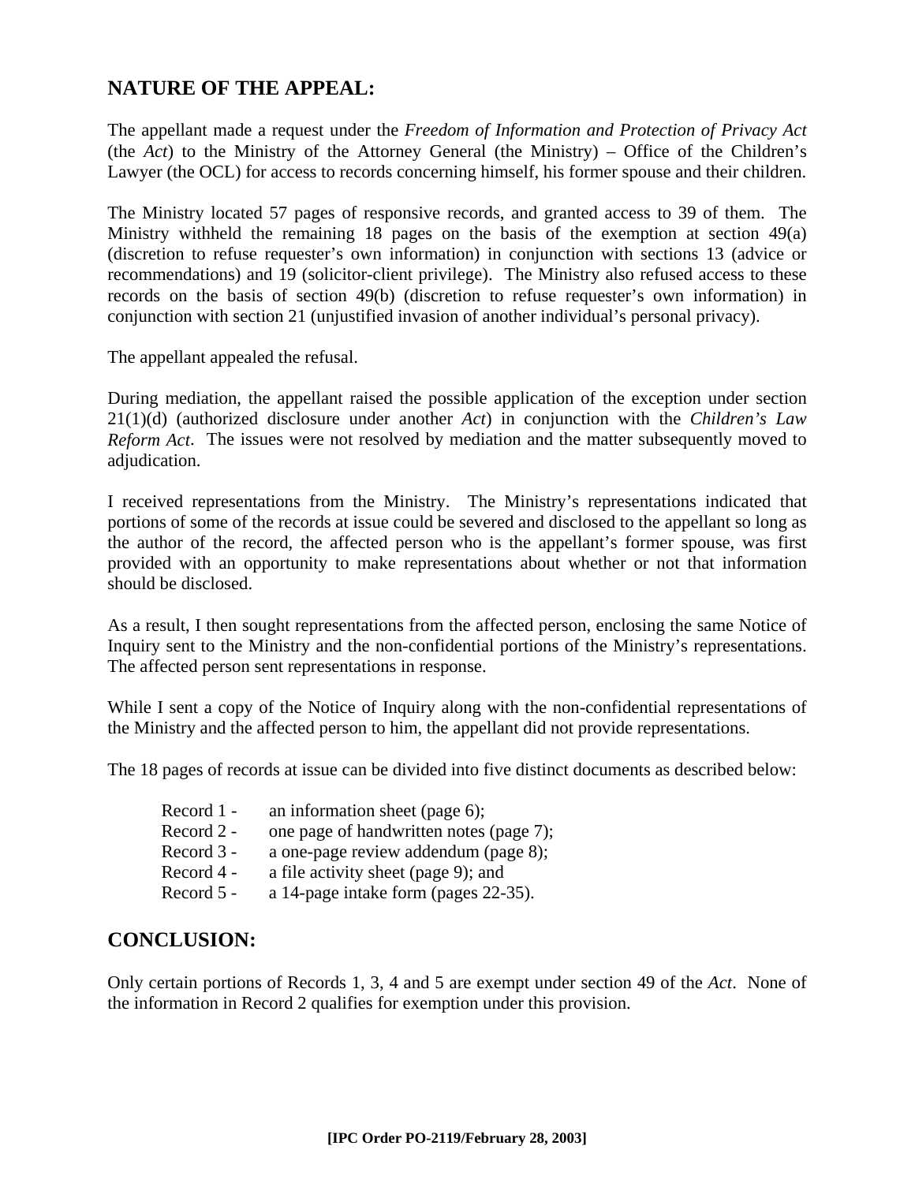# **NATURE OF THE APPEAL:**

The appellant made a request under the *Freedom of Information and Protection of Privacy Act* (the *Act*) to the Ministry of the Attorney General (the Ministry) – Office of the Children's Lawyer (the OCL) for access to records concerning himself, his former spouse and their children.

The Ministry located 57 pages of responsive records, and granted access to 39 of them. The Ministry withheld the remaining 18 pages on the basis of the exemption at section 49(a) (discretion to refuse requester's own information) in conjunction with sections 13 (advice or recommendations) and 19 (solicitor-client privilege). The Ministry also refused access to these records on the basis of section 49(b) (discretion to refuse requester's own information) in conjunction with section 21 (unjustified invasion of another individual's personal privacy).

The appellant appealed the refusal.

During mediation, the appellant raised the possible application of the exception under section 21(1)(d) (authorized disclosure under another *Act*) in conjunction with the *Children's Law Reform Act*. The issues were not resolved by mediation and the matter subsequently moved to adjudication.

I received representations from the Ministry. The Ministry's representations indicated that portions of some of the records at issue could be severed and disclosed to the appellant so long as the author of the record, the affected person who is the appellant's former spouse, was first provided with an opportunity to make representations about whether or not that information should be disclosed.

As a result, I then sought representations from the affected person, enclosing the same Notice of Inquiry sent to the Ministry and the non-confidential portions of the Ministry's representations. The affected person sent representations in response.

While I sent a copy of the Notice of Inquiry along with the non-confidential representations of the Ministry and the affected person to him, the appellant did not provide representations.

The 18 pages of records at issue can be divided into five distinct documents as described below:

| Record 1 - | an information sheet (page 6);          |
|------------|-----------------------------------------|
| Record 2 - | one page of handwritten notes (page 7); |
| Record 3 - | a one-page review addendum (page 8);    |
| Record 4 - | a file activity sheet (page 9); and     |
| Record 5 - | a 14-page intake form (pages 22-35).    |

# **CONCLUSION:**

Only certain portions of Records 1, 3, 4 and 5 are exempt under section 49 of the *Act*. None of the information in Record 2 qualifies for exemption under this provision.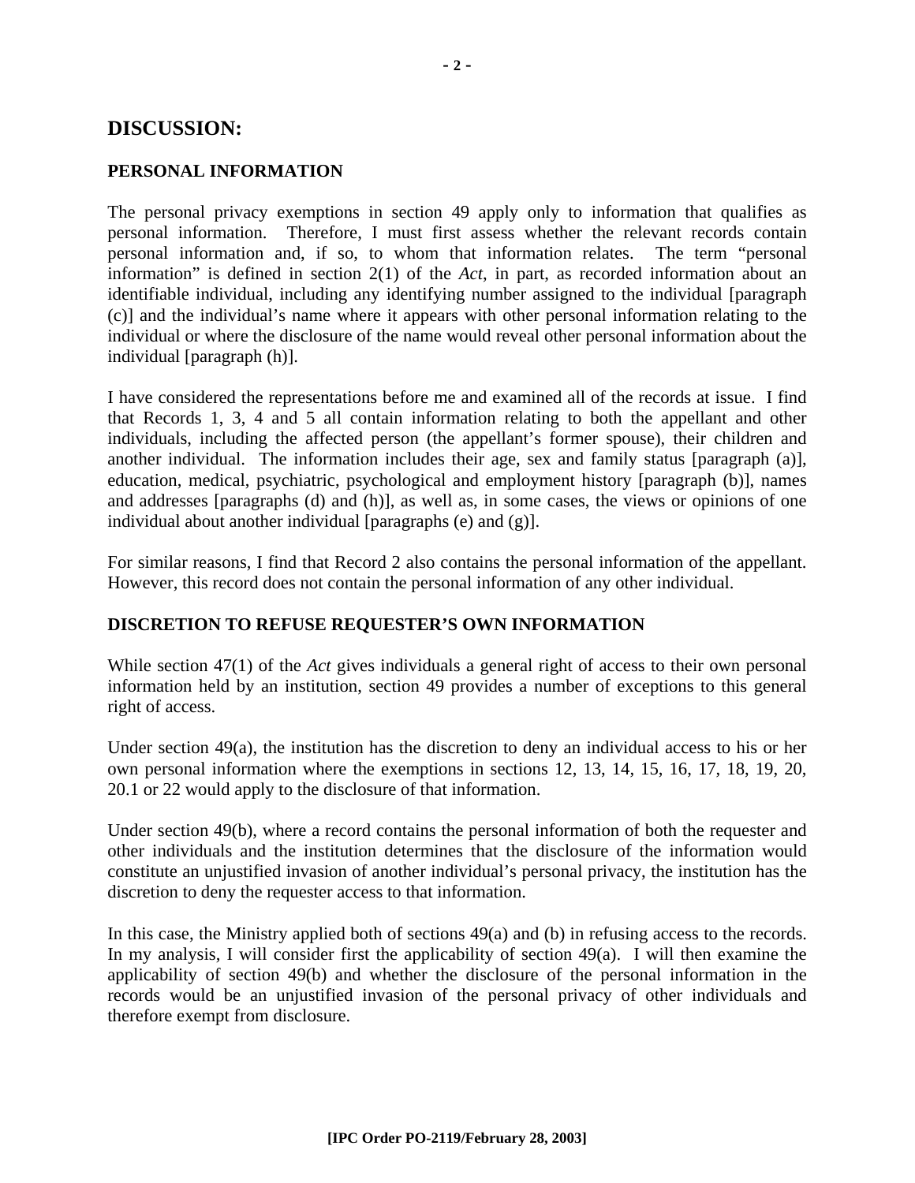# **DISCUSSION:**

#### **PERSONAL INFORMATION**

The personal privacy exemptions in section 49 apply only to information that qualifies as personal information. Therefore, I must first assess whether the relevant records contain personal information and, if so, to whom that information relates. The term "personal information" is defined in section 2(1) of the *Act*, in part, as recorded information about an identifiable individual, including any identifying number assigned to the individual [paragraph (c)] and the individual's name where it appears with other personal information relating to the individual or where the disclosure of the name would reveal other personal information about the individual [paragraph (h)].

I have considered the representations before me and examined all of the records at issue. I find that Records 1, 3, 4 and 5 all contain information relating to both the appellant and other individuals, including the affected person (the appellant's former spouse), their children and another individual. The information includes their age, sex and family status [paragraph (a)], education, medical, psychiatric, psychological and employment history [paragraph (b)], names and addresses [paragraphs (d) and (h)], as well as, in some cases, the views or opinions of one individual about another individual [paragraphs (e) and (g)].

For similar reasons, I find that Record 2 also contains the personal information of the appellant. However, this record does not contain the personal information of any other individual.

#### **DISCRETION TO REFUSE REQUESTER'S OWN INFORMATION**

While section 47(1) of the *Act* gives individuals a general right of access to their own personal information held by an institution, section 49 provides a number of exceptions to this general right of access.

Under section  $49(a)$ , the institution has the discretion to deny an individual access to his or her own personal information where the exemptions in sections 12, 13, 14, 15, 16, 17, 18, 19, 20, 20.1 or 22 would apply to the disclosure of that information.

Under section 49(b), where a record contains the personal information of both the requester and other individuals and the institution determines that the disclosure of the information would constitute an unjustified invasion of another individual's personal privacy, the institution has the discretion to deny the requester access to that information.

In this case, the Ministry applied both of sections 49(a) and (b) in refusing access to the records. In my analysis, I will consider first the applicability of section  $49(a)$ . I will then examine the applicability of section 49(b) and whether the disclosure of the personal information in the records would be an unjustified invasion of the personal privacy of other individuals and therefore exempt from disclosure.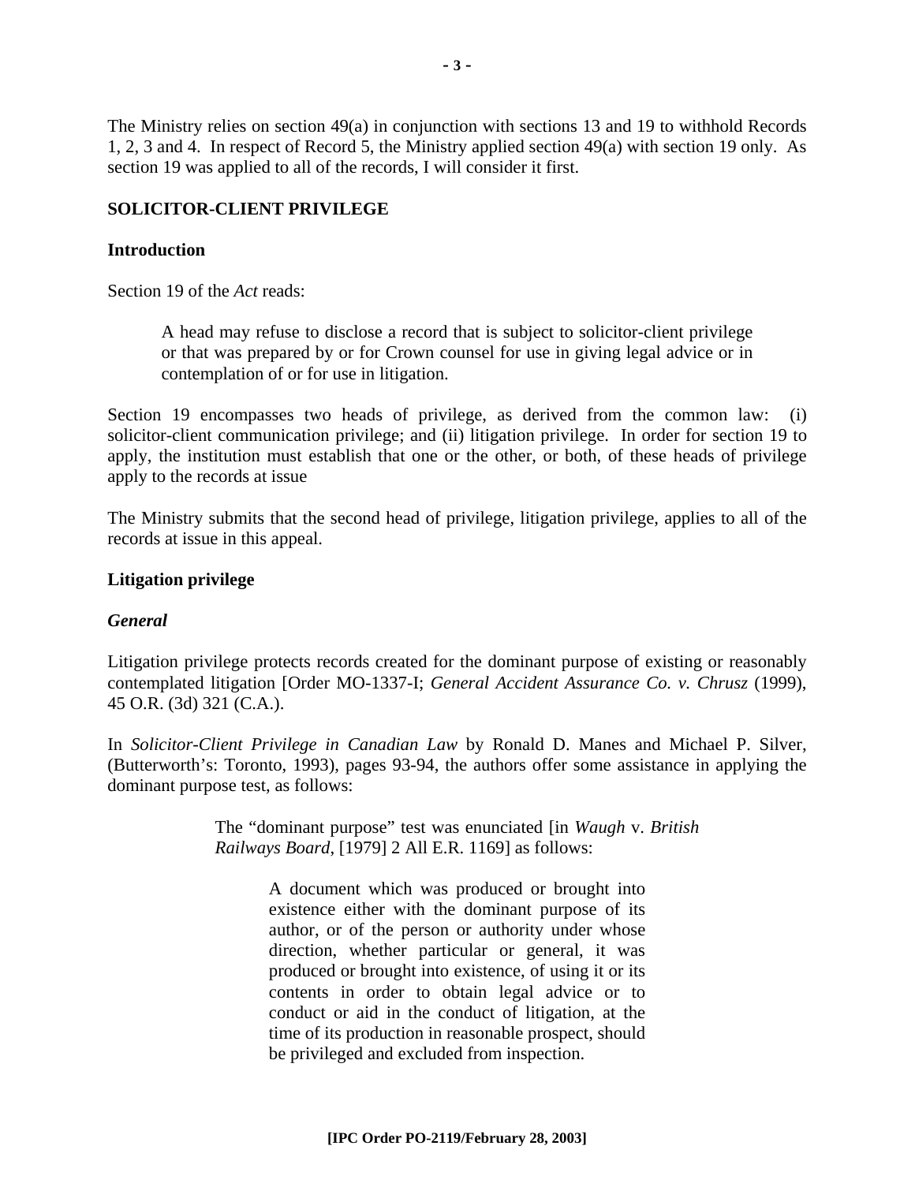The Ministry relies on section 49(a) in conjunction with sections 13 and 19 to withhold Records 1, 2, 3 and 4. In respect of Record 5, the Ministry applied section 49(a) with section 19 only. As section 19 was applied to all of the records, I will consider it first.

# **SOLICITOR-CLIENT PRIVILEGE**

### **Introduction**

Section 19 of the *Act* reads:

A head may refuse to disclose a record that is subject to solicitor-client privilege or that was prepared by or for Crown counsel for use in giving legal advice or in contemplation of or for use in litigation.

Section 19 encompasses two heads of privilege, as derived from the common law: (i) solicitor-client communication privilege; and (ii) litigation privilege. In order for section 19 to apply, the institution must establish that one or the other, or both, of these heads of privilege apply to the records at issue

The Ministry submits that the second head of privilege, litigation privilege, applies to all of the records at issue in this appeal.

#### **Litigation privilege**

# *General*

Litigation privilege protects records created for the dominant purpose of existing or reasonably contemplated litigation [Order MO-1337-I; *General Accident Assurance Co. v. Chrusz* (1999), 45 O.R. (3d) 321 (C.A.).

In *Solicitor-Client Privilege in Canadian Law* by Ronald D. Manes and Michael P. Silver, (Butterworth's: Toronto, 1993), pages 93-94, the authors offer some assistance in applying the dominant purpose test, as follows:

> The "dominant purpose" test was enunciated [in *Waugh* v. *British Railways Board*, [1979] 2 All E.R. 1169] as follows:

> > A document which was produced or brought into existence either with the dominant purpose of its author, or of the person or authority under whose direction, whether particular or general, it was produced or brought into existence, of using it or its contents in order to obtain legal advice or to conduct or aid in the conduct of litigation, at the time of its production in reasonable prospect, should be privileged and excluded from inspection.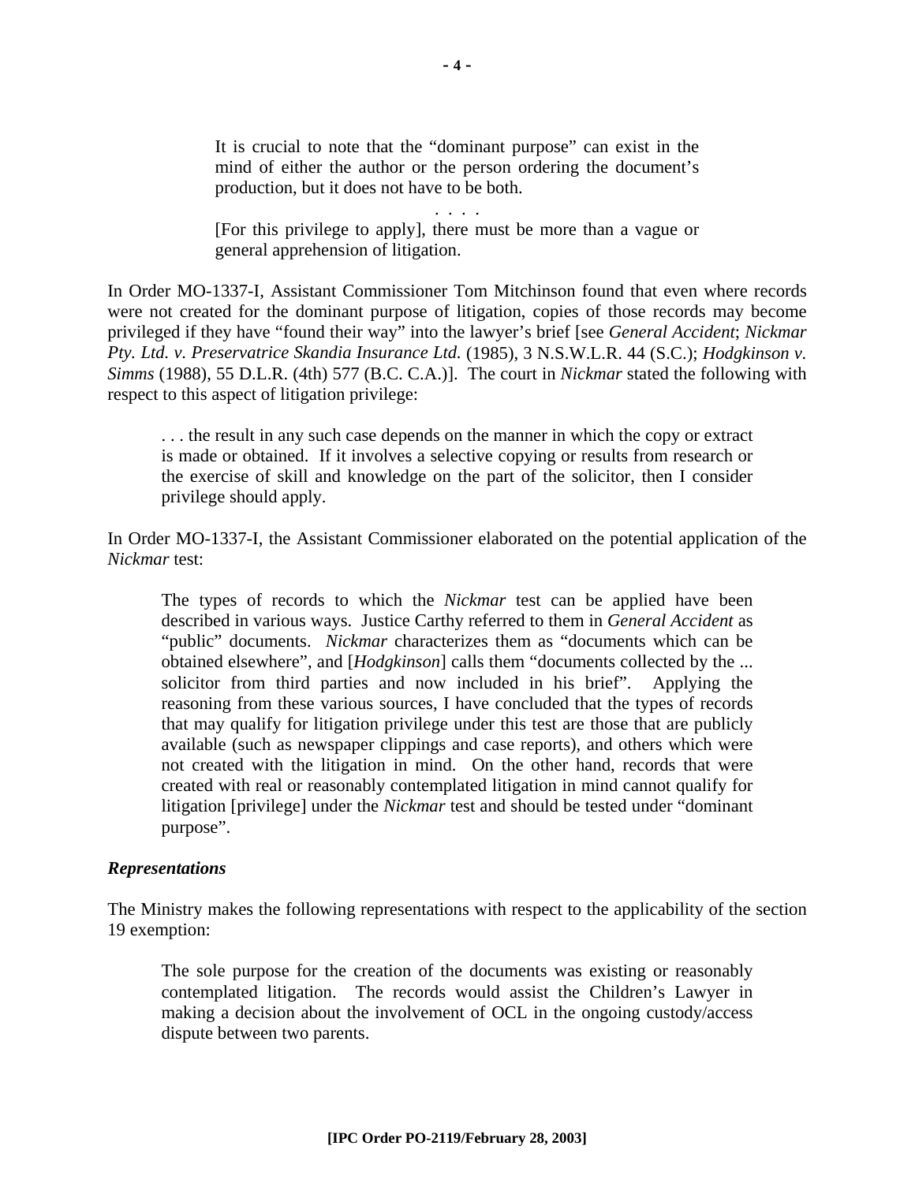It is crucial to note that the "dominant purpose" can exist in the mind of either the author or the person ordering the document's production, but it does not have to be both.

. . . .

[For this privilege to apply], there must be more than a vague or general apprehension of litigation.

In Order MO-1337-I, Assistant Commissioner Tom Mitchinson found that even where records were not created for the dominant purpose of litigation, copies of those records may become privileged if they have "found their way" into the lawyer's brief [see *General Accident*; *Nickmar Pty. Ltd. v. Preservatrice Skandia Insurance Ltd.* (1985), 3 N.S.W.L.R. 44 (S.C.); *Hodgkinson v. Simms* (1988), 55 D.L.R. (4th) 577 (B.C. C.A.)]. The court in *Nickmar* stated the following with respect to this aspect of litigation privilege:

. . . the result in any such case depends on the manner in which the copy or extract is made or obtained. If it involves a selective copying or results from research or the exercise of skill and knowledge on the part of the solicitor, then I consider privilege should apply.

In Order MO-1337-I, the Assistant Commissioner elaborated on the potential application of the *Nickmar* test:

The types of records to which the *Nickmar* test can be applied have been described in various ways. Justice Carthy referred to them in *General Accident* as "public" documents. *Nickmar* characterizes them as "documents which can be obtained elsewhere", and [*Hodgkinson*] calls them "documents collected by the ... solicitor from third parties and now included in his brief". Applying the reasoning from these various sources, I have concluded that the types of records that may qualify for litigation privilege under this test are those that are publicly available (such as newspaper clippings and case reports), and others which were not created with the litigation in mind. On the other hand, records that were created with real or reasonably contemplated litigation in mind cannot qualify for litigation [privilege] under the *Nickmar* test and should be tested under "dominant purpose".

#### *Representations*

The Ministry makes the following representations with respect to the applicability of the section 19 exemption:

The sole purpose for the creation of the documents was existing or reasonably contemplated litigation. The records would assist the Children's Lawyer in making a decision about the involvement of OCL in the ongoing custody/access dispute between two parents.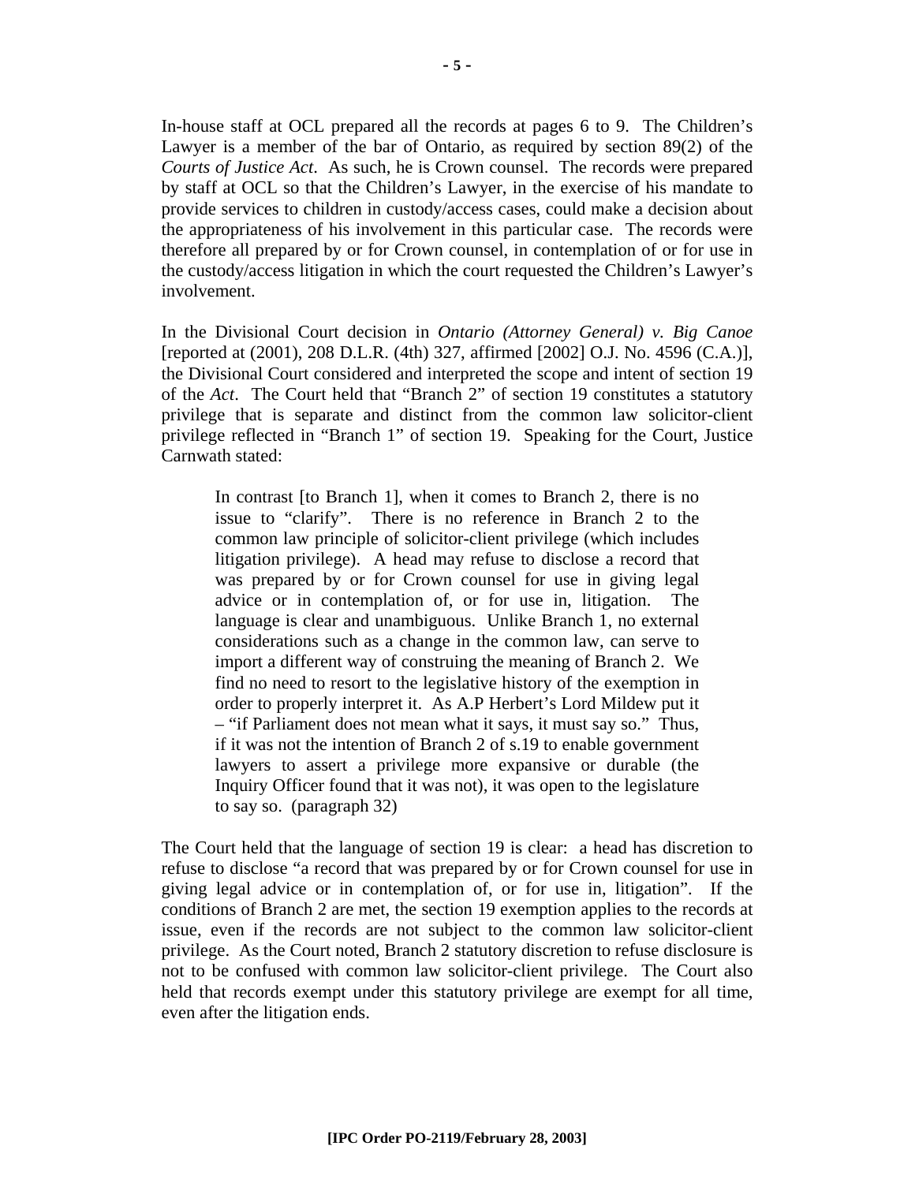In-house staff at OCL prepared all the records at pages 6 to 9. The Children's Lawyer is a member of the bar of Ontario, as required by section 89(2) of the *Courts of Justice Act*. As such, he is Crown counsel. The records were prepared by staff at OCL so that the Children's Lawyer, in the exercise of his mandate to provide services to children in custody/access cases, could make a decision about the appropriateness of his involvement in this particular case. The records were therefore all prepared by or for Crown counsel, in contemplation of or for use in the custody/access litigation in which the court requested the Children's Lawyer's involvement.

In the Divisional Court decision in *Ontario (Attorney General) v. Big Canoe* [reported at (2001), 208 D.L.R. (4th) 327, affirmed [2002] O.J. No. 4596 (C.A.)], the Divisional Court considered and interpreted the scope and intent of section 19 of the *Act*. The Court held that "Branch 2" of section 19 constitutes a statutory privilege that is separate and distinct from the common law solicitor-client privilege reflected in "Branch 1" of section 19. Speaking for the Court, Justice Carnwath stated:

In contrast [to Branch 1], when it comes to Branch 2, there is no issue to "clarify". There is no reference in Branch 2 to the common law principle of solicitor-client privilege (which includes litigation privilege). A head may refuse to disclose a record that was prepared by or for Crown counsel for use in giving legal advice or in contemplation of, or for use in, litigation. The language is clear and unambiguous. Unlike Branch 1, no external considerations such as a change in the common law, can serve to import a different way of construing the meaning of Branch 2. We find no need to resort to the legislative history of the exemption in order to properly interpret it. As A.P Herbert's Lord Mildew put it – "if Parliament does not mean what it says, it must say so." Thus, if it was not the intention of Branch 2 of s.19 to enable government lawyers to assert a privilege more expansive or durable (the Inquiry Officer found that it was not), it was open to the legislature to say so. (paragraph 32)

The Court held that the language of section 19 is clear: a head has discretion to refuse to disclose "a record that was prepared by or for Crown counsel for use in giving legal advice or in contemplation of, or for use in, litigation". If the conditions of Branch 2 are met, the section 19 exemption applies to the records at issue, even if the records are not subject to the common law solicitor-client privilege. As the Court noted, Branch 2 statutory discretion to refuse disclosure is not to be confused with common law solicitor-client privilege. The Court also held that records exempt under this statutory privilege are exempt for all time, even after the litigation ends.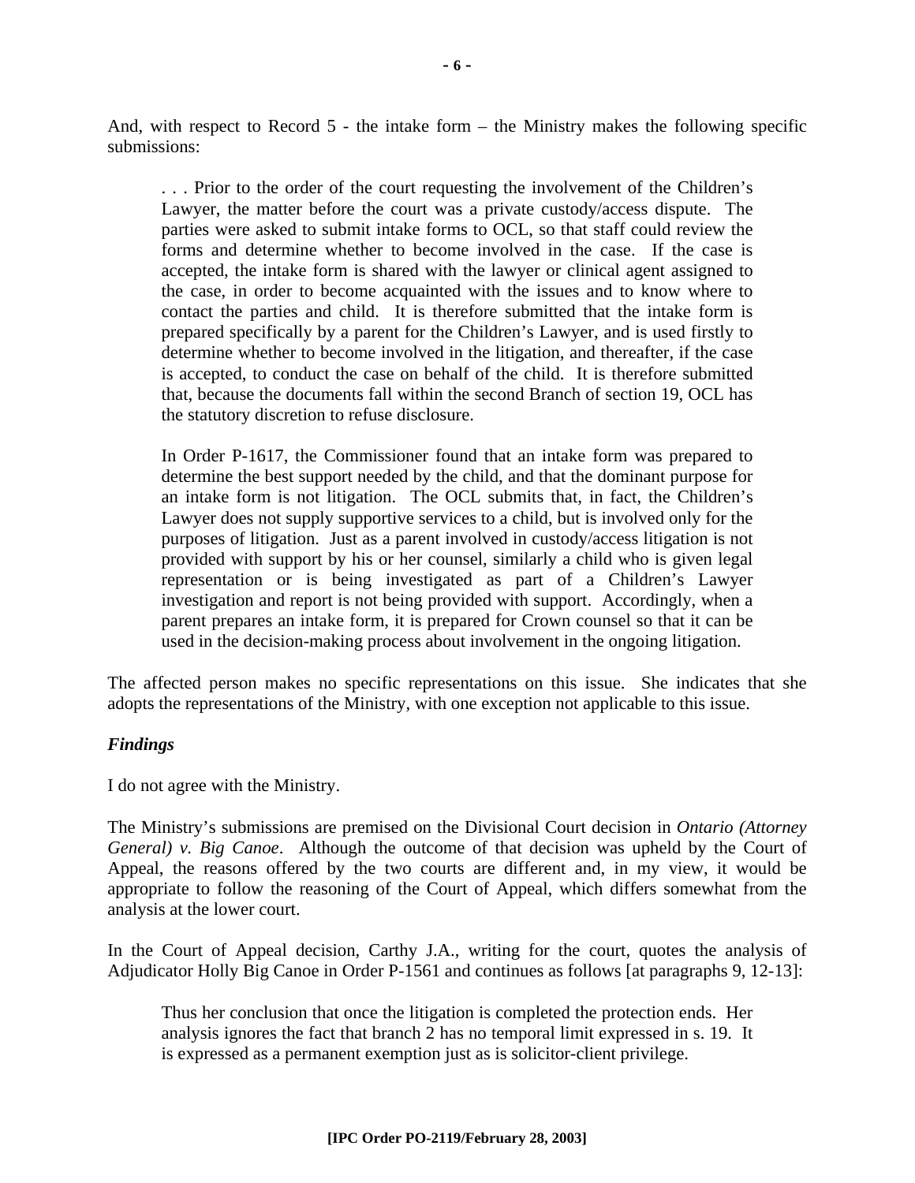And, with respect to Record 5 - the intake form – the Ministry makes the following specific submissions:

. . . Prior to the order of the court requesting the involvement of the Children's Lawyer, the matter before the court was a private custody/access dispute. The parties were asked to submit intake forms to OCL, so that staff could review the forms and determine whether to become involved in the case. If the case is accepted, the intake form is shared with the lawyer or clinical agent assigned to the case, in order to become acquainted with the issues and to know where to contact the parties and child. It is therefore submitted that the intake form is prepared specifically by a parent for the Children's Lawyer, and is used firstly to determine whether to become involved in the litigation, and thereafter, if the case is accepted, to conduct the case on behalf of the child. It is therefore submitted that, because the documents fall within the second Branch of section 19, OCL has the statutory discretion to refuse disclosure.

In Order P-1617, the Commissioner found that an intake form was prepared to determine the best support needed by the child, and that the dominant purpose for an intake form is not litigation. The OCL submits that, in fact, the Children's Lawyer does not supply supportive services to a child, but is involved only for the purposes of litigation. Just as a parent involved in custody/access litigation is not provided with support by his or her counsel, similarly a child who is given legal representation or is being investigated as part of a Children's Lawyer investigation and report is not being provided with support. Accordingly, when a parent prepares an intake form, it is prepared for Crown counsel so that it can be used in the decision-making process about involvement in the ongoing litigation.

The affected person makes no specific representations on this issue. She indicates that she adopts the representations of the Ministry, with one exception not applicable to this issue.

#### *Findings*

I do not agree with the Ministry.

The Ministry's submissions are premised on the Divisional Court decision in *Ontario (Attorney General) v. Big Canoe*. Although the outcome of that decision was upheld by the Court of Appeal, the reasons offered by the two courts are different and, in my view, it would be appropriate to follow the reasoning of the Court of Appeal, which differs somewhat from the analysis at the lower court.

In the Court of Appeal decision, Carthy J.A., writing for the court, quotes the analysis of Adjudicator Holly Big Canoe in Order P-1561 and continues as follows [at paragraphs 9, 12-13]:

Thus her conclusion that once the litigation is completed the protection ends. Her analysis ignores the fact that branch 2 has no temporal limit expressed in s. 19. It is expressed as a permanent exemption just as is solicitor-client privilege.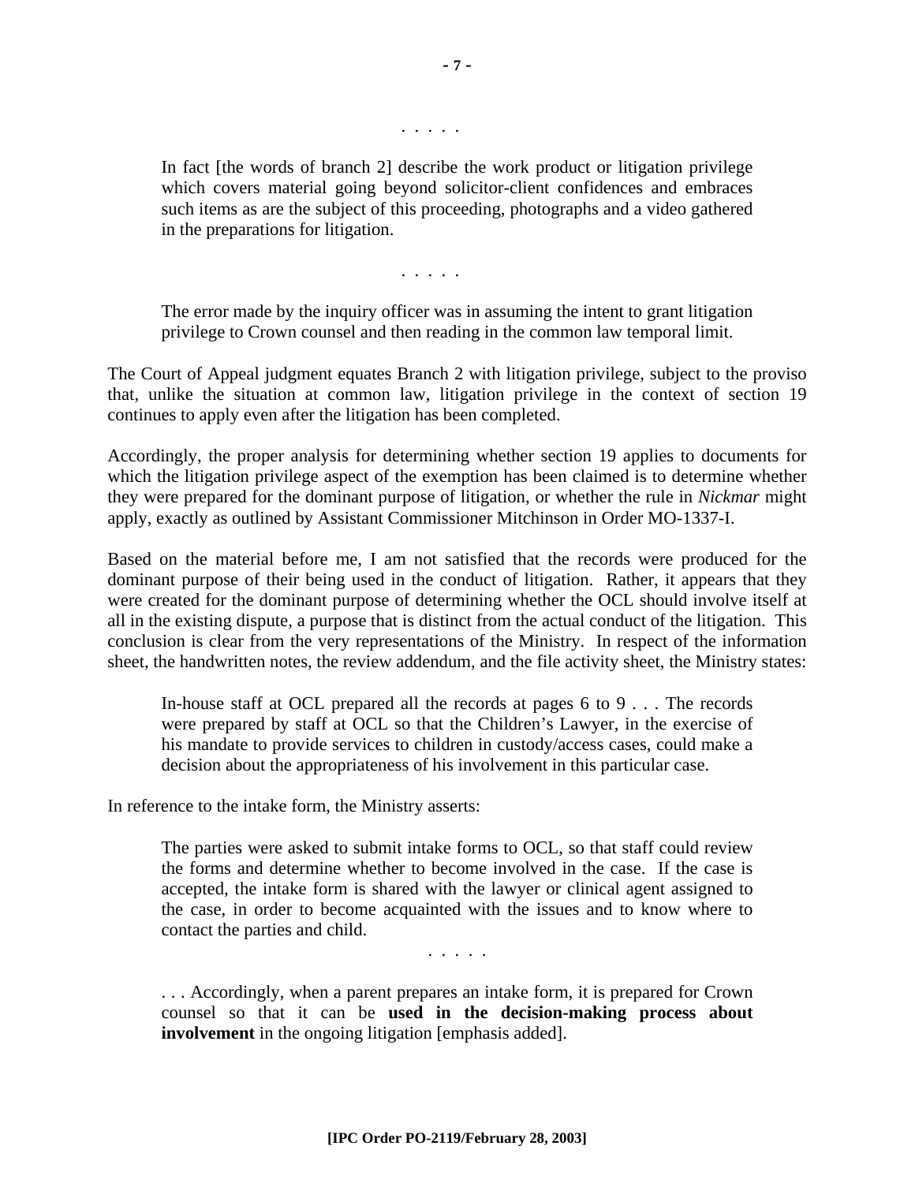. . . . .

In fact [the words of branch 2] describe the work product or litigation privilege which covers material going beyond solicitor-client confidences and embraces such items as are the subject of this proceeding, photographs and a video gathered in the preparations for litigation.

. . . . .

The error made by the inquiry officer was in assuming the intent to grant litigation privilege to Crown counsel and then reading in the common law temporal limit.

The Court of Appeal judgment equates Branch 2 with litigation privilege, subject to the proviso that, unlike the situation at common law, litigation privilege in the context of section 19 continues to apply even after the litigation has been completed.

Accordingly, the proper analysis for determining whether section 19 applies to documents for which the litigation privilege aspect of the exemption has been claimed is to determine whether they were prepared for the dominant purpose of litigation, or whether the rule in *Nickmar* might apply, exactly as outlined by Assistant Commissioner Mitchinson in Order MO-1337-I.

Based on the material before me, I am not satisfied that the records were produced for the dominant purpose of their being used in the conduct of litigation. Rather, it appears that they were created for the dominant purpose of determining whether the OCL should involve itself at all in the existing dispute, a purpose that is distinct from the actual conduct of the litigation. This conclusion is clear from the very representations of the Ministry. In respect of the information sheet, the handwritten notes, the review addendum, and the file activity sheet, the Ministry states:

In-house staff at OCL prepared all the records at pages 6 to 9 . . . The records were prepared by staff at OCL so that the Children's Lawyer, in the exercise of his mandate to provide services to children in custody/access cases, could make a decision about the appropriateness of his involvement in this particular case.

In reference to the intake form, the Ministry asserts:

The parties were asked to submit intake forms to OCL, so that staff could review the forms and determine whether to become involved in the case. If the case is accepted, the intake form is shared with the lawyer or clinical agent assigned to the case, in order to become acquainted with the issues and to know where to contact the parties and child.

. . . . .

. . . Accordingly, when a parent prepares an intake form, it is prepared for Crown counsel so that it can be **used in the decision-making process about involvement** in the ongoing litigation [emphasis added].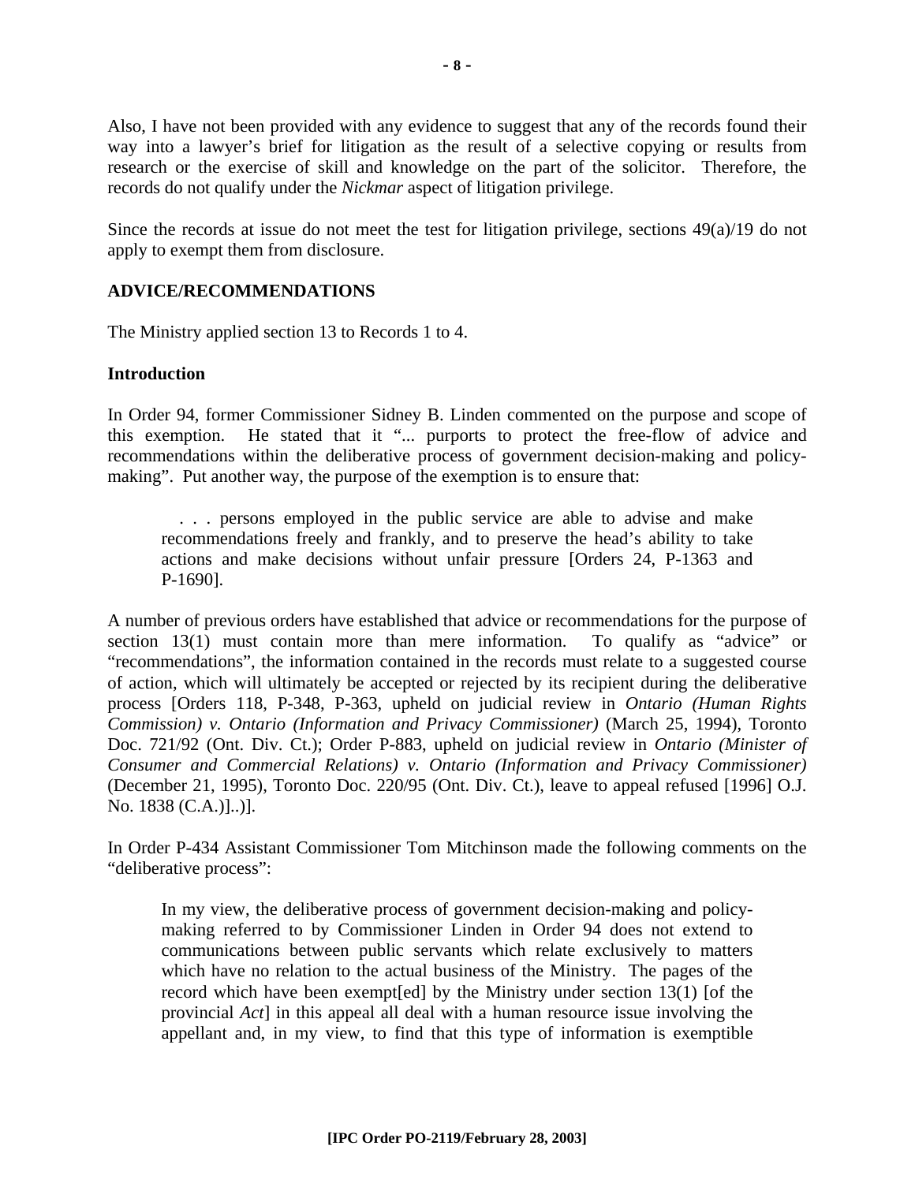Also, I have not been provided with any evidence to suggest that any of the records found their way into a lawyer's brief for litigation as the result of a selective copying or results from research or the exercise of skill and knowledge on the part of the solicitor. Therefore, the records do not qualify under the *Nickmar* aspect of litigation privilege.

Since the records at issue do not meet the test for litigation privilege, sections 49(a)/19 do not apply to exempt them from disclosure.

#### **ADVICE/RECOMMENDATIONS**

The Ministry applied section 13 to Records 1 to 4.

#### **Introduction**

In Order 94, former Commissioner Sidney B. Linden commented on the purpose and scope of this exemption. He stated that it "... purports to protect the free-flow of advice and recommendations within the deliberative process of government decision-making and policymaking". Put another way, the purpose of the exemption is to ensure that:

 . . . persons employed in the public service are able to advise and make recommendations freely and frankly, and to preserve the head's ability to take actions and make decisions without unfair pressure [Orders 24, P-1363 and P-1690].

A number of previous orders have established that advice or recommendations for the purpose of section 13(1) must contain more than mere information. To qualify as "advice" or "recommendations", the information contained in the records must relate to a suggested course of action, which will ultimately be accepted or rejected by its recipient during the deliberative process [Orders 118, P-348, P-363, upheld on judicial review in *Ontario (Human Rights Commission) v. Ontario (Information and Privacy Commissioner)* (March 25, 1994), Toronto Doc. 721/92 (Ont. Div. Ct.); Order P-883, upheld on judicial review in *Ontario (Minister of Consumer and Commercial Relations) v. Ontario (Information and Privacy Commissioner)* (December 21, 1995), Toronto Doc. 220/95 (Ont. Div. Ct.), leave to appeal refused [1996] O.J. No. 1838 (C.A.)]..)].

In Order P-434 Assistant Commissioner Tom Mitchinson made the following comments on the "deliberative process":

In my view, the deliberative process of government decision-making and policymaking referred to by Commissioner Linden in Order 94 does not extend to communications between public servants which relate exclusively to matters which have no relation to the actual business of the Ministry. The pages of the record which have been exempt[ed] by the Ministry under section 13(1) [of the provincial *Act*] in this appeal all deal with a human resource issue involving the appellant and, in my view, to find that this type of information is exemptible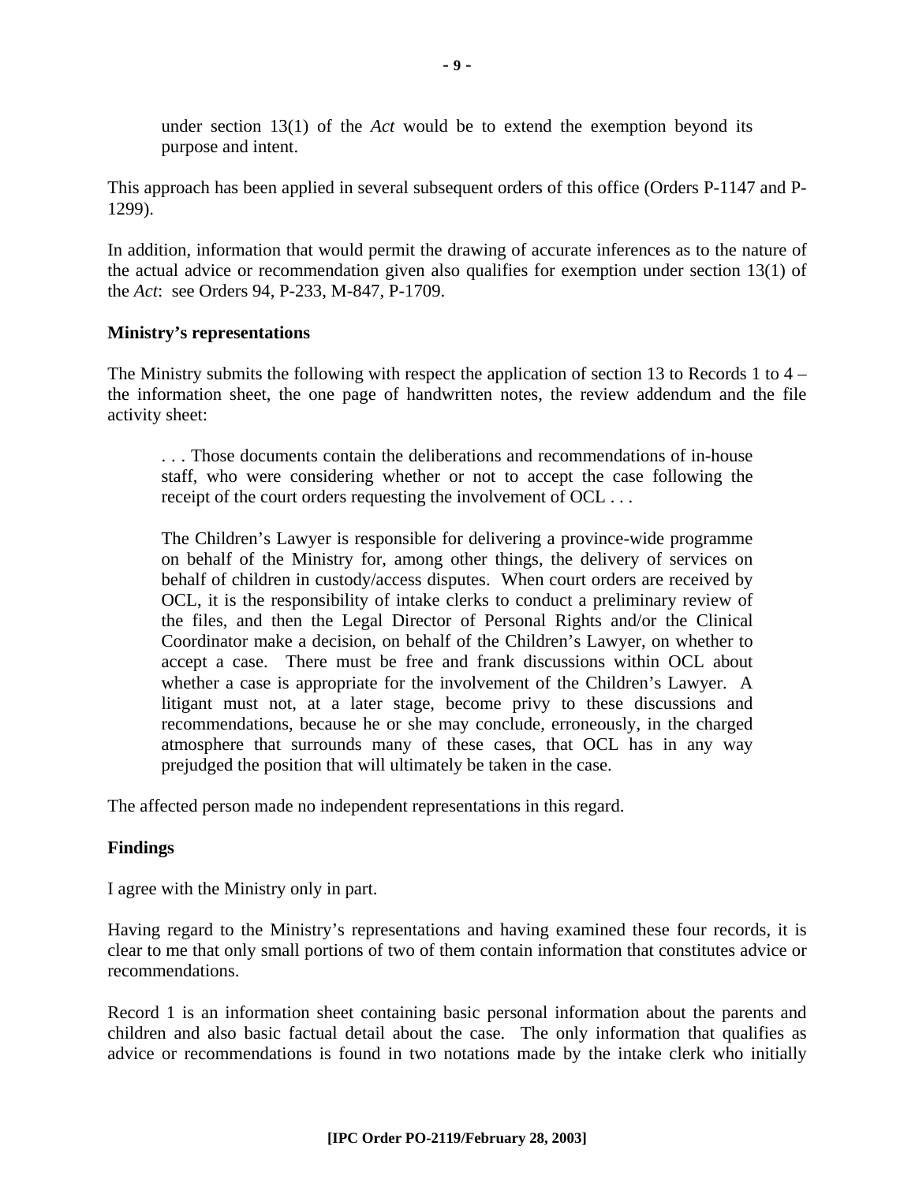under section 13(1) of the *Act* would be to extend the exemption beyond its purpose and intent.

This approach has been applied in several subsequent orders of this office (Orders P-1147 and P-1299).

In addition, information that would permit the drawing of accurate inferences as to the nature of the actual advice or recommendation given also qualifies for exemption under section 13(1) of the *Act*: see Orders 94, P-233, M-847, P-1709.

#### **Ministry's representations**

The Ministry submits the following with respect the application of section 13 to Records 1 to 4 – the information sheet, the one page of handwritten notes, the review addendum and the file activity sheet:

. . . Those documents contain the deliberations and recommendations of in-house staff, who were considering whether or not to accept the case following the receipt of the court orders requesting the involvement of OCL ...

The Children's Lawyer is responsible for delivering a province-wide programme on behalf of the Ministry for, among other things, the delivery of services on behalf of children in custody/access disputes. When court orders are received by OCL, it is the responsibility of intake clerks to conduct a preliminary review of the files, and then the Legal Director of Personal Rights and/or the Clinical Coordinator make a decision, on behalf of the Children's Lawyer, on whether to accept a case. There must be free and frank discussions within OCL about whether a case is appropriate for the involvement of the Children's Lawyer. A litigant must not, at a later stage, become privy to these discussions and recommendations, because he or she may conclude, erroneously, in the charged atmosphere that surrounds many of these cases, that OCL has in any way prejudged the position that will ultimately be taken in the case.

The affected person made no independent representations in this regard.

# **Findings**

I agree with the Ministry only in part.

Having regard to the Ministry's representations and having examined these four records, it is clear to me that only small portions of two of them contain information that constitutes advice or recommendations.

Record 1 is an information sheet containing basic personal information about the parents and children and also basic factual detail about the case. The only information that qualifies as advice or recommendations is found in two notations made by the intake clerk who initially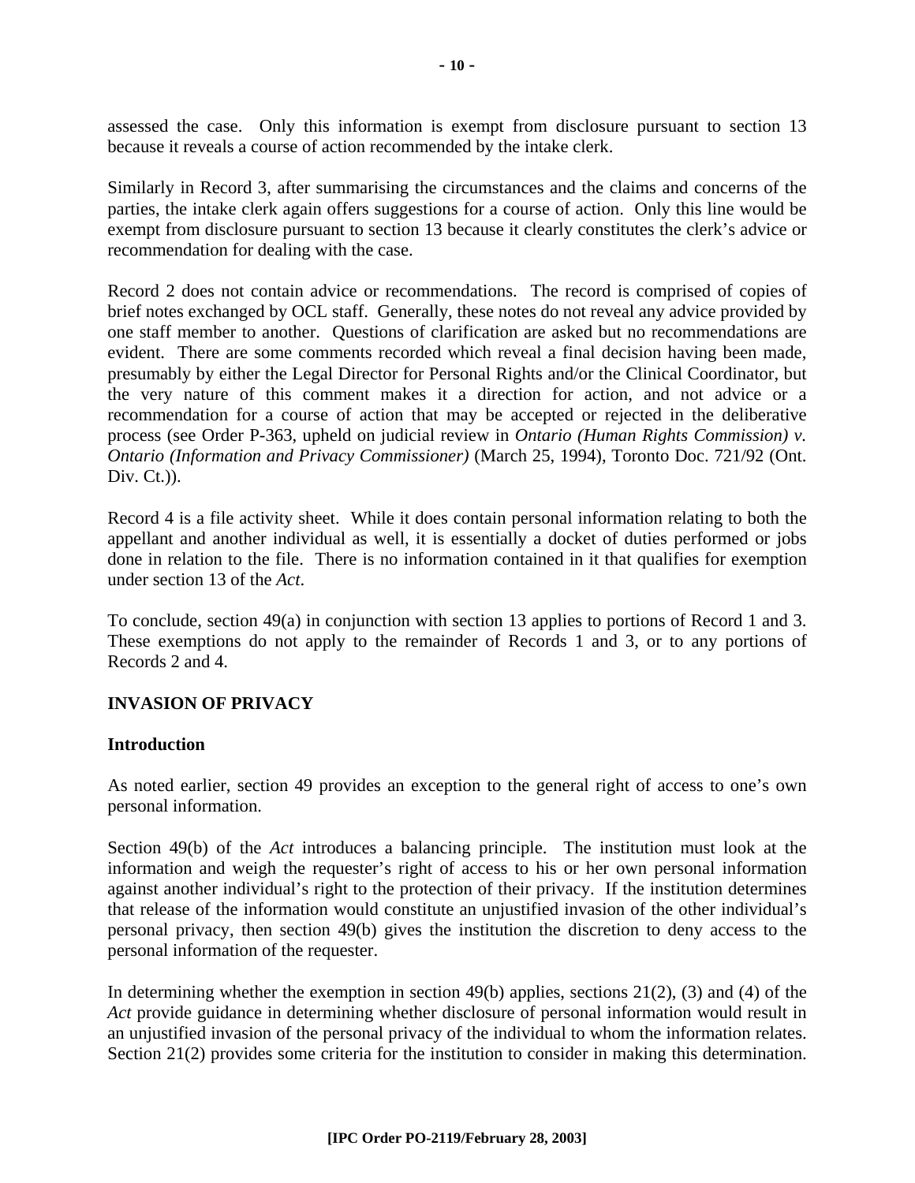assessed the case. Only this information is exempt from disclosure pursuant to section 13 because it reveals a course of action recommended by the intake clerk.

Similarly in Record 3, after summarising the circumstances and the claims and concerns of the parties, the intake clerk again offers suggestions for a course of action. Only this line would be exempt from disclosure pursuant to section 13 because it clearly constitutes the clerk's advice or recommendation for dealing with the case.

Record 2 does not contain advice or recommendations. The record is comprised of copies of brief notes exchanged by OCL staff. Generally, these notes do not reveal any advice provided by one staff member to another. Questions of clarification are asked but no recommendations are evident. There are some comments recorded which reveal a final decision having been made, presumably by either the Legal Director for Personal Rights and/or the Clinical Coordinator, but the very nature of this comment makes it a direction for action, and not advice or a recommendation for a course of action that may be accepted or rejected in the deliberative process (see Order P-363, upheld on judicial review in *Ontario (Human Rights Commission) v. Ontario (Information and Privacy Commissioner)* (March 25, 1994), Toronto Doc. 721/92 (Ont. Div.  $C_t$ .)).

Record 4 is a file activity sheet. While it does contain personal information relating to both the appellant and another individual as well, it is essentially a docket of duties performed or jobs done in relation to the file. There is no information contained in it that qualifies for exemption under section 13 of the *Act*.

To conclude, section 49(a) in conjunction with section 13 applies to portions of Record 1 and 3. These exemptions do not apply to the remainder of Records 1 and 3, or to any portions of Records 2 and 4.

# **INVASION OF PRIVACY**

#### **Introduction**

As noted earlier, section 49 provides an exception to the general right of access to one's own personal information.

Section 49(b) of the *Act* introduces a balancing principle. The institution must look at the information and weigh the requester's right of access to his or her own personal information against another individual's right to the protection of their privacy. If the institution determines that release of the information would constitute an unjustified invasion of the other individual's personal privacy, then section 49(b) gives the institution the discretion to deny access to the personal information of the requester.

In determining whether the exemption in section 49(b) applies, sections  $21(2)$ , (3) and (4) of the *Act* provide guidance in determining whether disclosure of personal information would result in an unjustified invasion of the personal privacy of the individual to whom the information relates. Section 21(2) provides some criteria for the institution to consider in making this determination.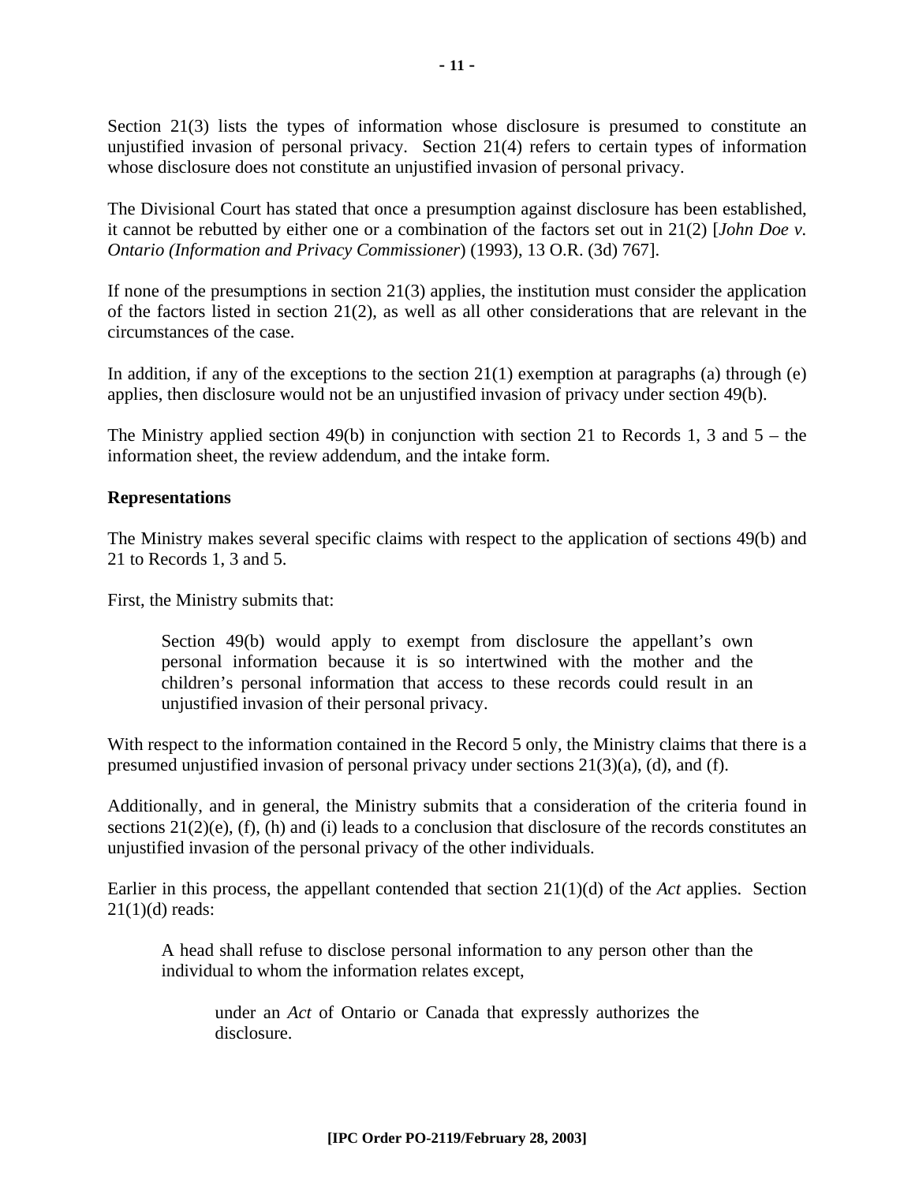Section 21(3) lists the types of information whose disclosure is presumed to constitute an unjustified invasion of personal privacy. Section 21(4) refers to certain types of information whose disclosure does not constitute an unjustified invasion of personal privacy.

The Divisional Court has stated that once a presumption against disclosure has been established, it cannot be rebutted by either one or a combination of the factors set out in 21(2) [*John Doe v. Ontario (Information and Privacy Commissioner*) (1993), 13 O.R. (3d) 767].

If none of the presumptions in section  $21(3)$  applies, the institution must consider the application of the factors listed in section 21(2), as well as all other considerations that are relevant in the circumstances of the case.

In addition, if any of the exceptions to the section  $21(1)$  exemption at paragraphs (a) through (e) applies, then disclosure would not be an unjustified invasion of privacy under section 49(b).

The Ministry applied section 49(b) in conjunction with section 21 to Records 1, 3 and  $5 -$  the information sheet, the review addendum, and the intake form.

#### **Representations**

The Ministry makes several specific claims with respect to the application of sections 49(b) and 21 to Records 1, 3 and 5.

First, the Ministry submits that:

Section 49(b) would apply to exempt from disclosure the appellant's own personal information because it is so intertwined with the mother and the children's personal information that access to these records could result in an unjustified invasion of their personal privacy.

With respect to the information contained in the Record 5 only, the Ministry claims that there is a presumed unjustified invasion of personal privacy under sections 21(3)(a), (d), and (f).

Additionally, and in general, the Ministry submits that a consideration of the criteria found in sections 21(2)(e), (f), (h) and (i) leads to a conclusion that disclosure of the records constitutes an unjustified invasion of the personal privacy of the other individuals.

Earlier in this process, the appellant contended that section 21(1)(d) of the *Act* applies. Section  $21(1)(d)$  reads:

A head shall refuse to disclose personal information to any person other than the individual to whom the information relates except,

under an *Act* of Ontario or Canada that expressly authorizes the disclosure.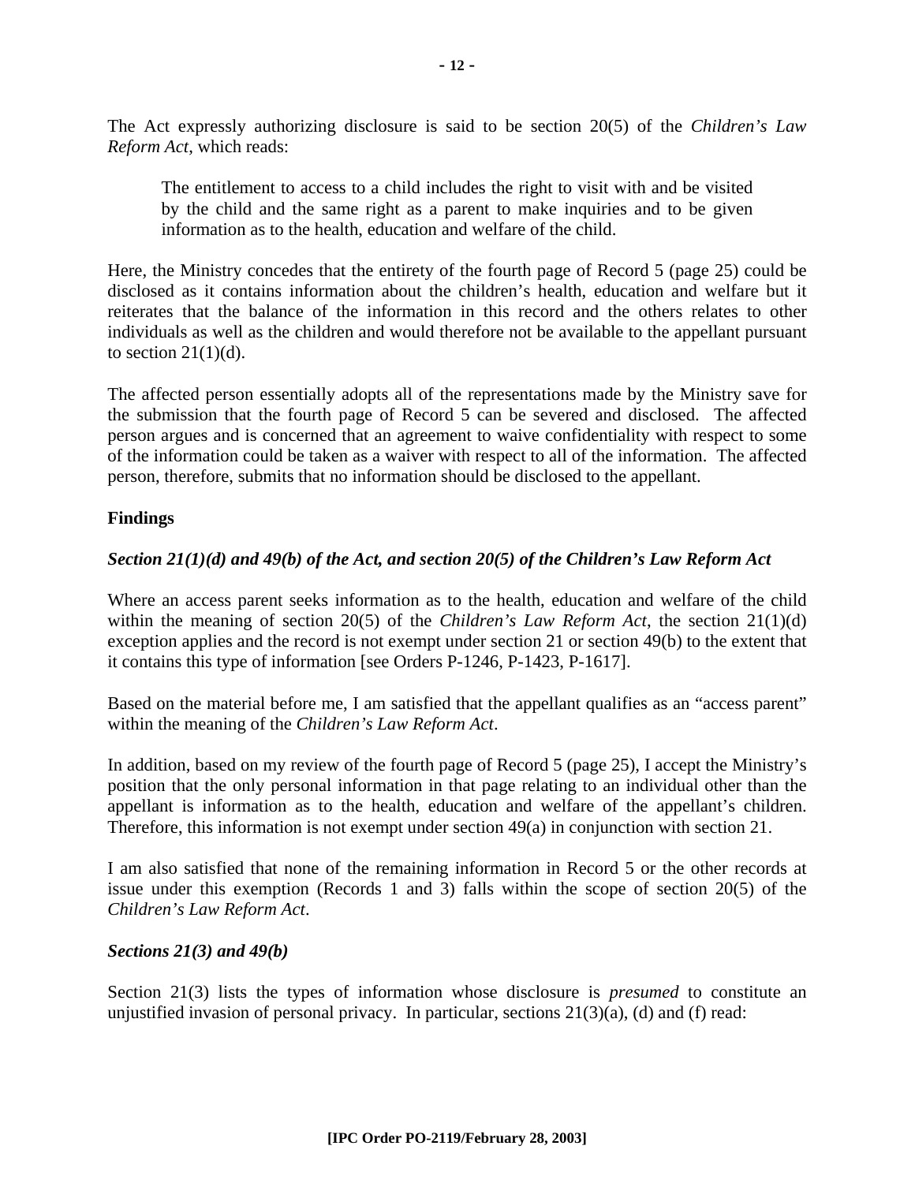The Act expressly authorizing disclosure is said to be section 20(5) of the *Children's Law Reform Act*, which reads:

The entitlement to access to a child includes the right to visit with and be visited by the child and the same right as a parent to make inquiries and to be given information as to the health, education and welfare of the child.

Here, the Ministry concedes that the entirety of the fourth page of Record 5 (page 25) could be disclosed as it contains information about the children's health, education and welfare but it reiterates that the balance of the information in this record and the others relates to other individuals as well as the children and would therefore not be available to the appellant pursuant to section  $21(1)(d)$ .

The affected person essentially adopts all of the representations made by the Ministry save for the submission that the fourth page of Record 5 can be severed and disclosed. The affected person argues and is concerned that an agreement to waive confidentiality with respect to some of the information could be taken as a waiver with respect to all of the information. The affected person, therefore, submits that no information should be disclosed to the appellant.

#### **Findings**

# *Section 21(1)(d) and 49(b) of the Act, and section 20(5) of the Children's Law Reform Act*

Where an access parent seeks information as to the health, education and welfare of the child within the meaning of section 20(5) of the *Children's Law Reform Act*, the section 21(1)(d) exception applies and the record is not exempt under section 21 or section 49(b) to the extent that it contains this type of information [see Orders P-1246, P-1423, P-1617].

Based on the material before me, I am satisfied that the appellant qualifies as an "access parent" within the meaning of the *Children's Law Reform Act*.

In addition, based on my review of the fourth page of Record 5 (page 25), I accept the Ministry's position that the only personal information in that page relating to an individual other than the appellant is information as to the health, education and welfare of the appellant's children. Therefore, this information is not exempt under section 49(a) in conjunction with section 21.

I am also satisfied that none of the remaining information in Record 5 or the other records at issue under this exemption (Records 1 and 3) falls within the scope of section 20(5) of the *Children's Law Reform Act*.

#### *Sections 21(3) and 49(b)*

Section 21(3) lists the types of information whose disclosure is *presumed* to constitute an unjustified invasion of personal privacy. In particular, sections  $21(3)(a)$ , (d) and (f) read: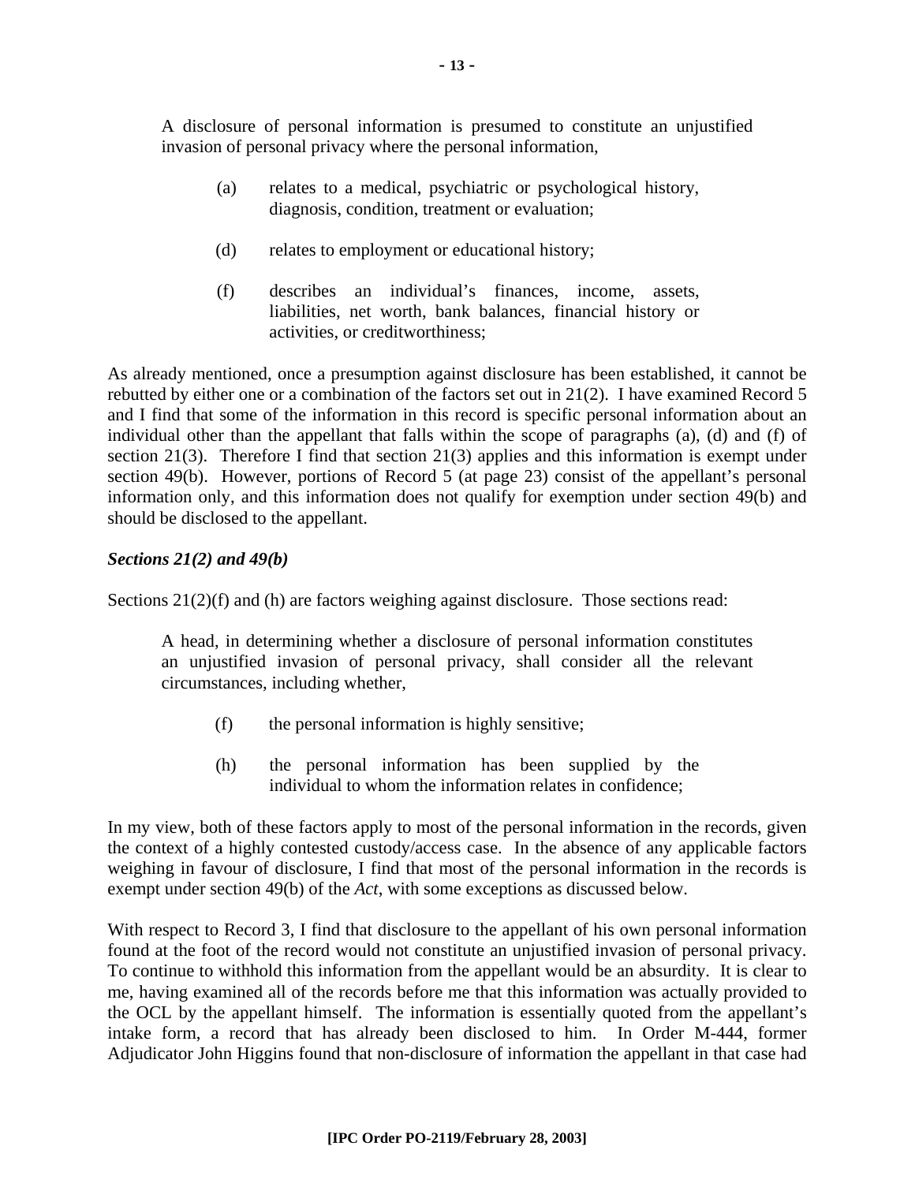A disclosure of personal information is presumed to constitute an unjustified invasion of personal privacy where the personal information,

- (a) relates to a medical, psychiatric or psychological history, diagnosis, condition, treatment or evaluation;
- (d) relates to employment or educational history;
- (f) describes an individual's finances, income, assets, liabilities, net worth, bank balances, financial history or activities, or creditworthiness;

As already mentioned, once a presumption against disclosure has been established, it cannot be rebutted by either one or a combination of the factors set out in 21(2). I have examined Record 5 and I find that some of the information in this record is specific personal information about an individual other than the appellant that falls within the scope of paragraphs (a), (d) and (f) of section 21(3). Therefore I find that section 21(3) applies and this information is exempt under section 49(b). However, portions of Record 5 (at page 23) consist of the appellant's personal information only, and this information does not qualify for exemption under section 49(b) and should be disclosed to the appellant.

#### *Sections 21(2) and 49(b)*

Sections  $21(2)(f)$  and (h) are factors weighing against disclosure. Those sections read:

A head, in determining whether a disclosure of personal information constitutes an unjustified invasion of personal privacy, shall consider all the relevant circumstances, including whether,

- (f) the personal information is highly sensitive;
- (h) the personal information has been supplied by the individual to whom the information relates in confidence;

In my view, both of these factors apply to most of the personal information in the records, given the context of a highly contested custody/access case. In the absence of any applicable factors weighing in favour of disclosure, I find that most of the personal information in the records is exempt under section 49(b) of the *Act*, with some exceptions as discussed below.

With respect to Record 3, I find that disclosure to the appellant of his own personal information found at the foot of the record would not constitute an unjustified invasion of personal privacy. To continue to withhold this information from the appellant would be an absurdity. It is clear to me, having examined all of the records before me that this information was actually provided to the OCL by the appellant himself. The information is essentially quoted from the appellant's intake form, a record that has already been disclosed to him. In Order M-444, former Adjudicator John Higgins found that non-disclosure of information the appellant in that case had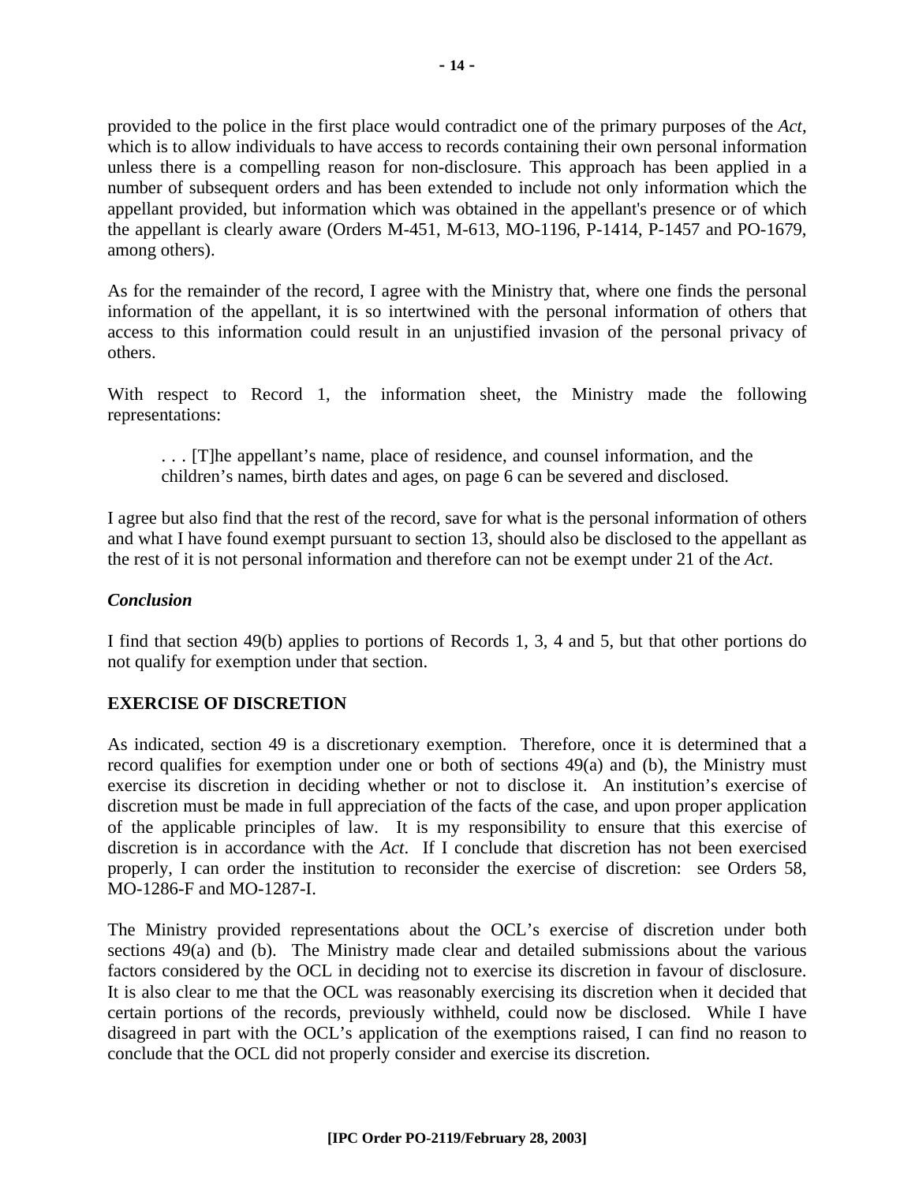provided to the police in the first place would contradict one of the primary purposes of the *Act*, which is to allow individuals to have access to records containing their own personal information unless there is a compelling reason for non-disclosure. This approach has been applied in a number of subsequent orders and has been extended to include not only information which the appellant provided, but information which was obtained in the appellant's presence or of which the appellant is clearly aware (Orders M-451, M-613, MO-1196, P-1414, P-1457 and PO-1679, among others).

As for the remainder of the record, I agree with the Ministry that, where one finds the personal information of the appellant, it is so intertwined with the personal information of others that access to this information could result in an unjustified invasion of the personal privacy of others.

With respect to Record 1, the information sheet, the Ministry made the following representations:

. . . [T]he appellant's name, place of residence, and counsel information, and the children's names, birth dates and ages, on page 6 can be severed and disclosed.

I agree but also find that the rest of the record, save for what is the personal information of others and what I have found exempt pursuant to section 13, should also be disclosed to the appellant as the rest of it is not personal information and therefore can not be exempt under 21 of the *Act*.

#### *Conclusion*

I find that section 49(b) applies to portions of Records 1, 3, 4 and 5, but that other portions do not qualify for exemption under that section.

#### **EXERCISE OF DISCRETION**

As indicated, section 49 is a discretionary exemption. Therefore, once it is determined that a record qualifies for exemption under one or both of sections 49(a) and (b), the Ministry must exercise its discretion in deciding whether or not to disclose it. An institution's exercise of discretion must be made in full appreciation of the facts of the case, and upon proper application of the applicable principles of law. It is my responsibility to ensure that this exercise of discretion is in accordance with the *Act*. If I conclude that discretion has not been exercised properly, I can order the institution to reconsider the exercise of discretion: see Orders 58, MO-1286-F and MO-1287-I.

The Ministry provided representations about the OCL's exercise of discretion under both sections 49(a) and (b). The Ministry made clear and detailed submissions about the various factors considered by the OCL in deciding not to exercise its discretion in favour of disclosure. It is also clear to me that the OCL was reasonably exercising its discretion when it decided that certain portions of the records, previously withheld, could now be disclosed. While I have disagreed in part with the OCL's application of the exemptions raised, I can find no reason to conclude that the OCL did not properly consider and exercise its discretion.